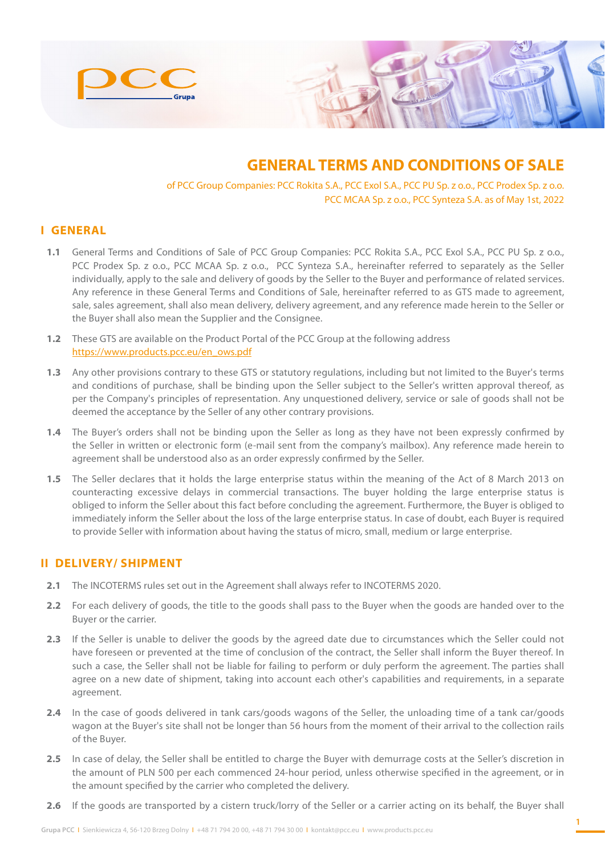

# **GENERAL TERMS AND CONDITIONS OF SALE**

of PCC Group Companies: PCC Rokita S.A., PCC Exol S.A., PCC PU Sp. z o.o., PCC Prodex Sp. z o.o. PCC MCAA Sp. z o.o., PCC Synteza S.A. as of May 1st, 2022

#### **I GENERAL**

- **1.1** General Terms and Conditions of Sale of PCC Group Companies: PCC Rokita S.A., PCC Exol S.A., PCC PU Sp. z o.o., PCC Prodex Sp. z o.o., PCC MCAA Sp. z o.o., PCC Synteza S.A., hereinafter referred to separately as the Seller individually, apply to the sale and delivery of goods by the Seller to the Buyer and performance of related services. Any reference in these General Terms and Conditions of Sale, hereinafter referred to as GTS made to agreement, sale, sales agreement, shall also mean delivery, delivery agreement, and any reference made herein to the Seller or the Buyer shall also mean the Supplier and the Consignee.
- **1.2** These GTS are available on the Product Portal of the PCC Group at the following address https://www.products.pcc.eu/en\_ows.pdf
- **1.3** Any other provisions contrary to these GTS or statutory regulations, including but not limited to the Buyer's terms and conditions of purchase, shall be binding upon the Seller subject to the Seller's written approval thereof, as per the Company's principles of representation. Any unquestioned delivery, service or sale of goods shall not be deemed the acceptance by the Seller of any other contrary provisions.
- **1.4** The Buyer's orders shall not be binding upon the Seller as long as they have not been expressly confirmed by the Seller in written or electronic form (e-mail sent from the company's mailbox). Any reference made herein to agreement shall be understood also as an order expressly confirmed by the Seller.
- **1.5** The Seller declares that it holds the large enterprise status within the meaning of the Act of 8 March 2013 on counteracting excessive delays in commercial transactions. The buyer holding the large enterprise status is obliged to inform the Seller about this fact before concluding the agreement. Furthermore, the Buyer is obliged to immediately inform the Seller about the loss of the large enterprise status. In case of doubt, each Buyer is required to provide Seller with information about having the status of micro, small, medium or large enterprise.

#### **II DELIVERY/ SHIPMENT**

- **2.1** The INCOTERMS rules set out in the Agreement shall always refer to INCOTERMS 2020.
- **2.2** For each delivery of goods, the title to the goods shall pass to the Buyer when the goods are handed over to the Buyer or the carrier.
- **2.3** If the Seller is unable to deliver the goods by the agreed date due to circumstances which the Seller could not have foreseen or prevented at the time of conclusion of the contract, the Seller shall inform the Buyer thereof. In such a case, the Seller shall not be liable for failing to perform or duly perform the agreement. The parties shall agree on a new date of shipment, taking into account each other's capabilities and requirements, in a separate agreement.
- **2.4** In the case of goods delivered in tank cars/goods wagons of the Seller, the unloading time of a tank car/goods wagon at the Buyer's site shall not be longer than 56 hours from the moment of their arrival to the collection rails of the Buyer.
- 2.5 In case of delay, the Seller shall be entitled to charge the Buyer with demurrage costs at the Seller's discretion in the amount of PLN 500 per each commenced 24-hour period, unless otherwise specified in the agreement, or in the amount specified by the carrier who completed the delivery.
- **2.6** If the goods are transported by a cistern truck/lorry of the Seller or a carrier acting on its behalf, the Buyer shall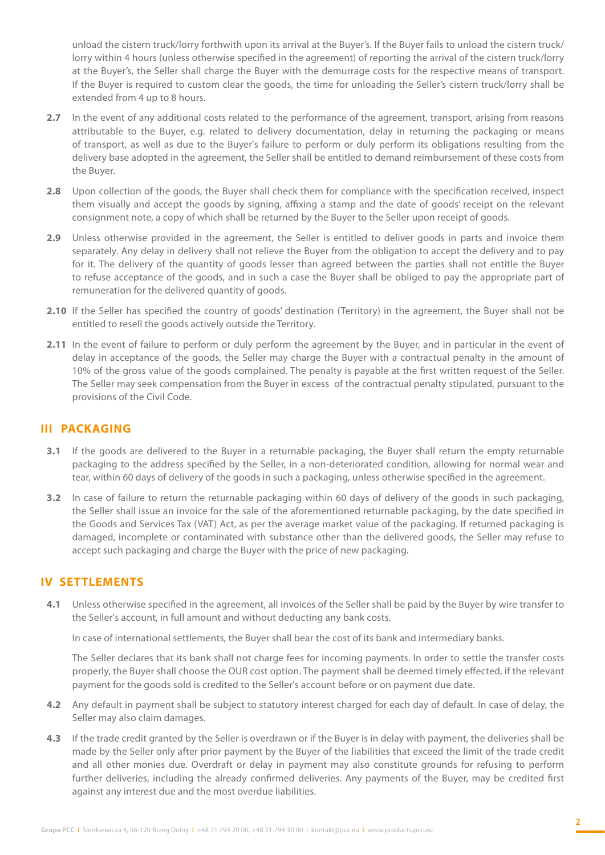unload the cistern truck/lorry forthwith upon its arrival at the Buyer's. If the Buyer fails to unload the cistern truck/ lorry within 4 hours (unless otherwise specified in the agreement) of reporting the arrival of the cistern truck/lorry at the Buyer's, the Seller shall charge the Buyer with the demurrage costs for the respective means of transport. If the Buyer is required to custom clear the goods, the time for unloading the Seller's cistern truck/lorry shall be extended from 4 up to 8 hours.

- **2.7** In the event of any additional costs related to the performance of the agreement, transport, arising from reasons attributable to the Buyer, e.g. related to delivery documentation, delay in returning the packaging or means of transport, as well as due to the Buyer's failure to perform or duly perform its obligations resulting from the delivery base adopted in the agreement, the Seller shall be entitled to demand reimbursement of these costs from the Buyer.
- **2.8** Upon collection of the goods, the Buyer shall check them for compliance with the specification received, inspect them visually and accept the goods by signing, affixing a stamp and the date of goods' receipt on the relevant consignment note, a copy of which shall be returned by the Buyer to the Seller upon receipt of goods.
- **2.9** Unless otherwise provided in the agreement, the Seller is entitled to deliver goods in parts and invoice them separately. Any delay in delivery shall not relieve the Buyer from the obligation to accept the delivery and to pay for it. The delivery of the quantity of goods lesser than agreed between the parties shall not entitle the Buyer to refuse acceptance of the goods, and in such a case the Buyer shall be obliged to pay the appropriate part of remuneration for the delivered quantity of goods.
- 2.10 If the Seller has specified the country of goods' destination (Territory) in the agreement, the Buyer shall not be entitled to resell the goods actively outside the Territory.
- **2.11** In the event of failure to perform or duly perform the agreement by the Buyer, and in particular in the event of delay in acceptance of the goods, the Seller may charge the Buyer with a contractual penalty in the amount of 10% of the gross value of the goods complained. The penalty is payable at the first written request of the Seller. The Seller may seek compensation from the Buyer in excess of the contractual penalty stipulated, pursuant to the provisions of the Civil Code.

## **III PACKAGING**

- **3.1** If the goods are delivered to the Buyer in a returnable packaging, the Buyer shall return the empty returnable packaging to the address specified by the Seller, in a non-deteriorated condition, allowing for normal wear and tear, within 60 days of delivery of the goods in such a packaging, unless otherwise specified in the agreement.
- **3.2** In case of failure to return the returnable packaging within 60 days of delivery of the goods in such packaging, the Seller shall issue an invoice for the sale of the aforementioned returnable packaging, by the date specified in the Goods and Services Tax (VAT) Act, as per the average market value of the packaging. If returned packaging is damaged, incomplete or contaminated with substance other than the delivered goods, the Seller may refuse to accept such packaging and charge the Buyer with the price of new packaging.

#### **IV SETTLEMENTS**

**4.1** Unless otherwise specified in the agreement, all invoices of the Seller shall be paid by the Buyer by wire transfer to the Seller's account, in full amount and without deducting any bank costs.

In case of international settlements, the Buyer shall bear the cost of its bank and intermediary banks.

The Seller declares that its bank shall not charge fees for incoming payments. In order to settle the transfer costs properly, the Buyer shall choose the OUR cost option. The payment shall be deemed timely effected, if the relevant payment for the goods sold is credited to the Seller's account before or on payment due date.

- **4.2** Any default in payment shall be subject to statutory interest charged for each day of default. In case of delay, the Seller may also claim damages.
- **4.3** If the trade credit granted by the Seller is overdrawn or if the Buyer is in delay with payment, the deliveries shall be made by the Seller only after prior payment by the Buyer of the liabilities that exceed the limit of the trade credit and all other monies due. Overdraft or delay in payment may also constitute grounds for refusing to perform further deliveries, including the already confirmed deliveries. Any payments of the Buyer, may be credited first against any interest due and the most overdue liabilities.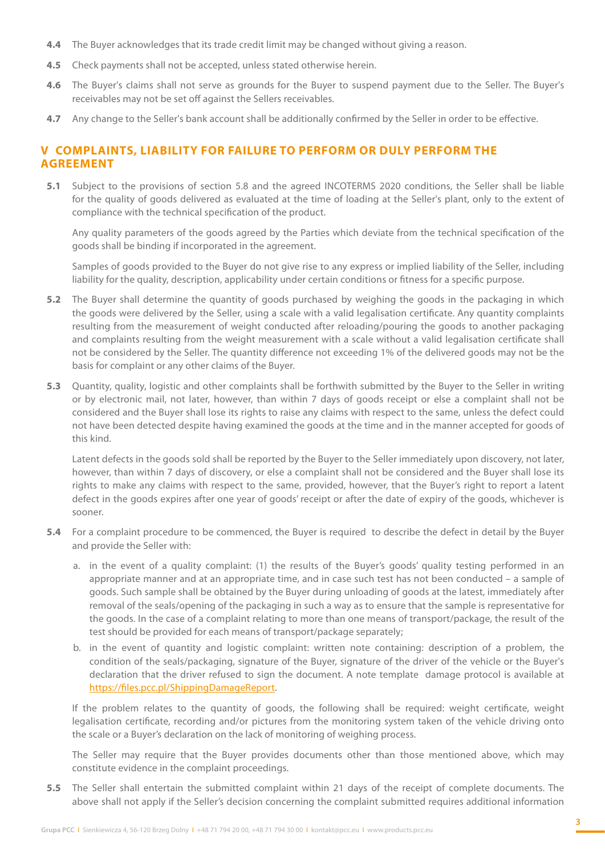- **4.4** The Buyer acknowledges that its trade credit limit may be changed without giving a reason.
- **4.5** Check payments shall not be accepted, unless stated otherwise herein.
- **4.6** The Buyer's claims shall not serve as grounds for the Buyer to suspend payment due to the Seller. The Buyer's receivables may not be set off against the Sellers receivables.
- **4.7** Any change to the Seller's bank account shall be additionally confirmed by the Seller in order to be effective.

## **V COMPLAINTS, LIABILITY FOR FAILURE TO PERFORM OR DULY PERFORM THE AGREEMENT**

**5.1** Subject to the provisions of section 5.8 and the agreed INCOTERMS 2020 conditions, the Seller shall be liable for the quality of goods delivered as evaluated at the time of loading at the Seller's plant, only to the extent of compliance with the technical specification of the product.

Any quality parameters of the goods agreed by the Parties which deviate from the technical specification of the goods shall be binding if incorporated in the agreement.

Samples of goods provided to the Buyer do not give rise to any express or implied liability of the Seller, including liability for the quality, description, applicability under certain conditions or fitness for a specific purpose.

- **5.2** The Buyer shall determine the quantity of goods purchased by weighing the goods in the packaging in which the goods were delivered by the Seller, using a scale with a valid legalisation certificate. Any quantity complaints resulting from the measurement of weight conducted after reloading/pouring the goods to another packaging and complaints resulting from the weight measurement with a scale without a valid legalisation certificate shall not be considered by the Seller. The quantity difference not exceeding 1% of the delivered goods may not be the basis for complaint or any other claims of the Buyer.
- **5.3** Quantity, quality, logistic and other complaints shall be forthwith submitted by the Buyer to the Seller in writing or by electronic mail, not later, however, than within 7 days of goods receipt or else a complaint shall not be considered and the Buyer shall lose its rights to raise any claims with respect to the same, unless the defect could not have been detected despite having examined the goods at the time and in the manner accepted for goods of this kind.

Latent defects in the goods sold shall be reported by the Buyer to the Seller immediately upon discovery, not later, however, than within 7 days of discovery, or else a complaint shall not be considered and the Buyer shall lose its rights to make any claims with respect to the same, provided, however, that the Buyer's right to report a latent defect in the goods expires after one year of goods' receipt or after the date of expiry of the goods, whichever is sooner.

- **5.4** For a complaint procedure to be commenced, the Buyer is required to describe the defect in detail by the Buyer and provide the Seller with:
	- a. in the event of a quality complaint: (1) the results of the Buyer's goods' quality testing performed in an appropriate manner and at an appropriate time, and in case such test has not been conducted – a sample of goods. Such sample shall be obtained by the Buyer during unloading of goods at the latest, immediately after removal of the seals/opening of the packaging in such a way as to ensure that the sample is representative for the goods. In the case of a complaint relating to more than one means of transport/package, the result of the test should be provided for each means of transport/package separately;
	- b. in the event of quantity and logistic complaint: written note containing: description of a problem, the condition of the seals/packaging, signature of the Buyer, signature of the driver of the vehicle or the Buyer's declaration that the driver refused to sign the document. A note template damage protocol is available at [https://files.pcc.pl/ShippingDamageReport.](https://files.pcc.pl/ShippingDamageReport)

If the problem relates to the quantity of goods, the following shall be required: weight certificate, weight legalisation certificate, recording and/or pictures from the monitoring system taken of the vehicle driving onto the scale or a Buyer's declaration on the lack of monitoring of weighing process.

The Seller may require that the Buyer provides documents other than those mentioned above, which may constitute evidence in the complaint proceedings.

**5.5** The Seller shall entertain the submitted complaint within 21 days of the receipt of complete documents. The above shall not apply if the Seller's decision concerning the complaint submitted requires additional information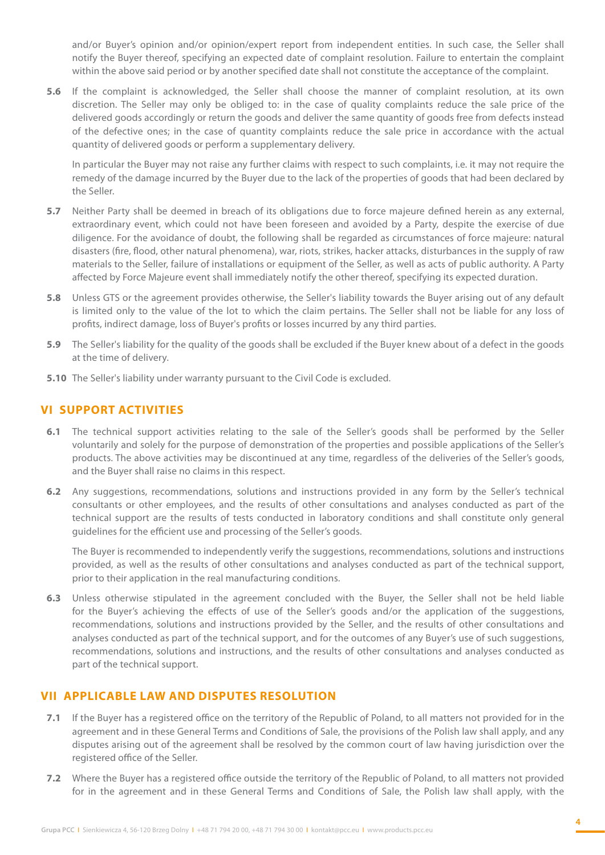and/or Buyer's opinion and/or opinion/expert report from independent entities. In such case, the Seller shall notify the Buyer thereof, specifying an expected date of complaint resolution. Failure to entertain the complaint within the above said period or by another specified date shall not constitute the acceptance of the complaint.

**5.6** If the complaint is acknowledged, the Seller shall choose the manner of complaint resolution, at its own discretion. The Seller may only be obliged to: in the case of quality complaints reduce the sale price of the delivered goods accordingly or return the goods and deliver the same quantity of goods free from defects instead of the defective ones; in the case of quantity complaints reduce the sale price in accordance with the actual quantity of delivered goods or perform a supplementary delivery.

In particular the Buyer may not raise any further claims with respect to such complaints, i.e. it may not require the remedy of the damage incurred by the Buyer due to the lack of the properties of goods that had been declared by the Seller.

- **5.7** Neither Party shall be deemed in breach of its obligations due to force majeure defined herein as any external, extraordinary event, which could not have been foreseen and avoided by a Party, despite the exercise of due diligence. For the avoidance of doubt, the following shall be regarded as circumstances of force majeure: natural disasters (fire, flood, other natural phenomena), war, riots, strikes, hacker attacks, disturbances in the supply of raw materials to the Seller, failure of installations or equipment of the Seller, as well as acts of public authority. A Party affected by Force Majeure event shall immediately notify the other thereof, specifying its expected duration.
- **5.8** Unless GTS or the agreement provides otherwise, the Seller's liability towards the Buyer arising out of any default is limited only to the value of the lot to which the claim pertains. The Seller shall not be liable for any loss of profits, indirect damage, loss of Buyer's profits or losses incurred by any third parties.
- **5.9** The Seller's liability for the quality of the goods shall be excluded if the Buyer knew about of a defect in the goods at the time of delivery.
- **5.10** The Seller's liability under warranty pursuant to the Civil Code is excluded.

# **VI SUPPORT ACTIVITIES**

- **6.1** The technical support activities relating to the sale of the Seller's goods shall be performed by the Seller voluntarily and solely for the purpose of demonstration of the properties and possible applications of the Seller's products. The above activities may be discontinued at any time, regardless of the deliveries of the Seller's goods, and the Buyer shall raise no claims in this respect.
- **6.2** Any suggestions, recommendations, solutions and instructions provided in any form by the Seller's technical consultants or other employees, and the results of other consultations and analyses conducted as part of the technical support are the results of tests conducted in laboratory conditions and shall constitute only general guidelines for the efficient use and processing of the Seller's goods.

The Buyer is recommended to independently verify the suggestions, recommendations, solutions and instructions provided, as well as the results of other consultations and analyses conducted as part of the technical support, prior to their application in the real manufacturing conditions.

**6.3** Unless otherwise stipulated in the agreement concluded with the Buyer, the Seller shall not be held liable for the Buyer's achieving the effects of use of the Seller's goods and/or the application of the suggestions, recommendations, solutions and instructions provided by the Seller, and the results of other consultations and analyses conducted as part of the technical support, and for the outcomes of any Buyer's use of such suggestions, recommendations, solutions and instructions, and the results of other consultations and analyses conducted as part of the technical support.

# **VII APPLICABLE LAW AND DISPUTES RESOLUTION**

- **7.1** If the Buyer has a registered office on the territory of the Republic of Poland, to all matters not provided for in the agreement and in these General Terms and Conditions of Sale, the provisions of the Polish law shall apply, and any disputes arising out of the agreement shall be resolved by the common court of law having jurisdiction over the registered office of the Seller.
- **7.2** Where the Buyer has a registered office outside the territory of the Republic of Poland, to all matters not provided for in the agreement and in these General Terms and Conditions of Sale, the Polish law shall apply, with the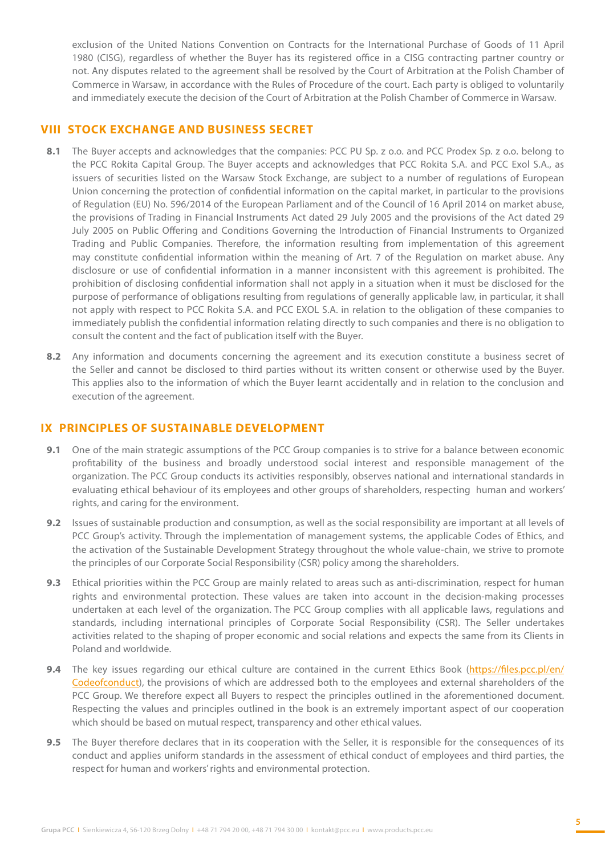exclusion of the United Nations Convention on Contracts for the International Purchase of Goods of 11 April 1980 (CISG), regardless of whether the Buyer has its registered office in a CISG contracting partner country or not. Any disputes related to the agreement shall be resolved by the Court of Arbitration at the Polish Chamber of Commerce in Warsaw, in accordance with the Rules of Procedure of the court. Each party is obliged to voluntarily and immediately execute the decision of the Court of Arbitration at the Polish Chamber of Commerce in Warsaw.

#### **VIII STOCK EXCHANGE AND BUSINESS SECRET**

- **8.1** The Buyer accepts and acknowledges that the companies: PCC PU Sp. z o.o. and PCC Prodex Sp. z o.o. belong to the PCC Rokita Capital Group. The Buyer accepts and acknowledges that PCC Rokita S.A. and PCC Exol S.A., as issuers of securities listed on the Warsaw Stock Exchange, are subject to a number of regulations of European Union concerning the protection of confidential information on the capital market, in particular to the provisions of Regulation (EU) No. 596/2014 of the European Parliament and of the Council of 16 April 2014 on market abuse, the provisions of Trading in Financial Instruments Act dated 29 July 2005 and the provisions of the Act dated 29 July 2005 on Public Offering and Conditions Governing the Introduction of Financial Instruments to Organized Trading and Public Companies. Therefore, the information resulting from implementation of this agreement may constitute confidential information within the meaning of Art. 7 of the Regulation on market abuse. Any disclosure or use of confidential information in a manner inconsistent with this agreement is prohibited. The prohibition of disclosing confidential information shall not apply in a situation when it must be disclosed for the purpose of performance of obligations resulting from regulations of generally applicable law, in particular, it shall not apply with respect to PCC Rokita S.A. and PCC EXOL S.A. in relation to the obligation of these companies to immediately publish the confidential information relating directly to such companies and there is no obligation to consult the content and the fact of publication itself with the Buyer.
- **8.2** Any information and documents concerning the agreement and its execution constitute a business secret of the Seller and cannot be disclosed to third parties without its written consent or otherwise used by the Buyer. This applies also to the information of which the Buyer learnt accidentally and in relation to the conclusion and execution of the agreement.

## **IX PRINCIPLES OF SUSTAINABLE DEVELOPMENT**

- **9.1** One of the main strategic assumptions of the PCC Group companies is to strive for a balance between economic profitability of the business and broadly understood social interest and responsible management of the organization. The PCC Group conducts its activities responsibly, observes national and international standards in evaluating ethical behaviour of its employees and other groups of shareholders, respecting human and workers' rights, and caring for the environment.
- **9.2** Issues of sustainable production and consumption, as well as the social responsibility are important at all levels of PCC Group's activity. Through the implementation of management systems, the applicable Codes of Ethics, and the activation of the Sustainable Development Strategy throughout the whole value-chain, we strive to promote the principles of our Corporate Social Responsibility (CSR) policy among the shareholders.
- **9.3** Ethical priorities within the PCC Group are mainly related to areas such as anti-discrimination, respect for human rights and environmental protection. These values are taken into account in the decision-making processes undertaken at each level of the organization. The PCC Group complies with all applicable laws, regulations and standards, including international principles of Corporate Social Responsibility (CSR). The Seller undertakes activities related to the shaping of proper economic and social relations and expects the same from its Clients in Poland and worldwide.
- **9.4** The key issues regarding our ethical culture are contained in the current Ethics Boo[k \(https://files.pcc.pl/en/](https://files.pcc.pl/en/Codeofconduct) [Codeofconduct\),](https://files.pcc.pl/en/Codeofconduct) the provisions of which are addressed both to the employees and external shareholders of the PCC Group. We therefore expect all Buyers to respect the principles outlined in the aforementioned document. Respecting the values and principles outlined in the book is an extremely important aspect of our cooperation which should be based on mutual respect, transparency and other ethical values.
- **9.5** The Buyer therefore declares that in its cooperation with the Seller, it is responsible for the consequences of its conduct and applies uniform standards in the assessment of ethical conduct of employees and third parties, the respect for human and workers' rights and environmental protection.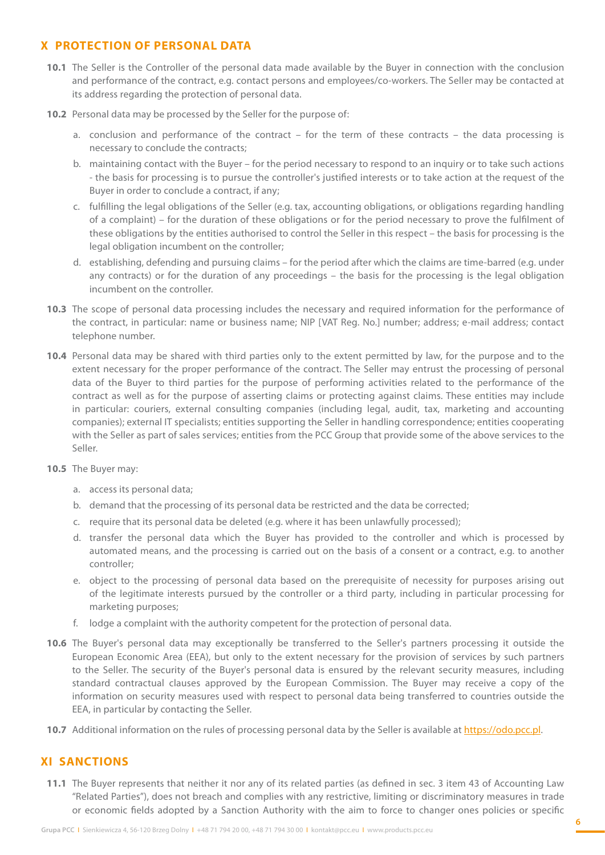# **X PROTECTION OF PERSONAL DATA**

- **10.1** The Seller is the Controller of the personal data made available by the Buyer in connection with the conclusion and performance of the contract, e.g. contact persons and employees/co-workers. The Seller may be contacted at its address regarding the protection of personal data.
- **10.2** Personal data may be processed by the Seller for the purpose of:
	- a. conclusion and performance of the contract for the term of these contracts the data processing is necessary to conclude the contracts;
	- b. maintaining contact with the Buyer for the period necessary to respond to an inquiry or to take such actions - the basis for processing is to pursue the controller's justified interests or to take action at the request of the Buyer in order to conclude a contract, if any;
	- c. fulfilling the legal obligations of the Seller (e.g. tax, accounting obligations, or obligations regarding handling of a complaint) – for the duration of these obligations or for the period necessary to prove the fulfilment of these obligations by the entities authorised to control the Seller in this respect – the basis for processing is the legal obligation incumbent on the controller;
	- d. establishing, defending and pursuing claims for the period after which the claims are time-barred (e.g. under any contracts) or for the duration of any proceedings – the basis for the processing is the legal obligation incumbent on the controller.
- **10.3** The scope of personal data processing includes the necessary and required information for the performance of the contract, in particular: name or business name; NIP [VAT Reg. No.] number; address; e-mail address; contact telephone number.
- **10.4** Personal data may be shared with third parties only to the extent permitted by law, for the purpose and to the extent necessary for the proper performance of the contract. The Seller may entrust the processing of personal data of the Buyer to third parties for the purpose of performing activities related to the performance of the contract as well as for the purpose of asserting claims or protecting against claims. These entities may include in particular: couriers, external consulting companies (including legal, audit, tax, marketing and accounting companies); external IT specialists; entities supporting the Seller in handling correspondence; entities cooperating with the Seller as part of sales services; entities from the PCC Group that provide some of the above services to the Seller.
- **10.5** The Buyer may:
	- a. access its personal data;
	- b. demand that the processing of its personal data be restricted and the data be corrected;
	- c. require that its personal data be deleted (e.g. where it has been unlawfully processed);
	- d. transfer the personal data which the Buyer has provided to the controller and which is processed by automated means, and the processing is carried out on the basis of a consent or a contract, e.g. to another controller;
	- e. object to the processing of personal data based on the prerequisite of necessity for purposes arising out of the legitimate interests pursued by the controller or a third party, including in particular processing for marketing purposes;
	- f. lodge a complaint with the authority competent for the protection of personal data.
- **10.6** The Buyer's personal data may exceptionally be transferred to the Seller's partners processing it outside the European Economic Area (EEA), but only to the extent necessary for the provision of services by such partners to the Seller. The security of the Buyer's personal data is ensured by the relevant security measures, including standard contractual clauses approved by the European Commission. The Buyer may receive a copy of the information on security measures used with respect to personal data being transferred to countries outside the EEA, in particular by contacting the Seller.
- **10.7** Additional information on the rules of processing personal data by the Seller is available at <https://odo.pcc.pl>.

#### **XI SANCTIONS**

**11.1** The Buyer represents that neither it nor any of its related parties (as defined in sec. 3 item 43 of Accounting Law "Related Parties"), does not breach and complies with any restrictive, limiting or discriminatory measures in trade or economic fields adopted by a Sanction Authority with the aim to force to changer ones policies or specific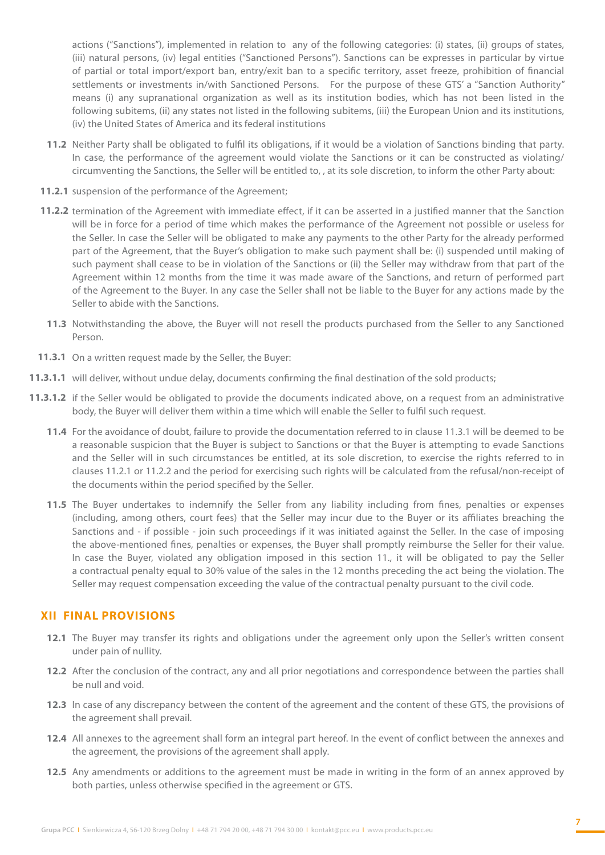actions ("Sanctions"), implemented in relation to any of the following categories: (i) states, (ii) groups of states, (iii) natural persons, (iv) legal entities ("Sanctioned Persons"). Sanctions can be expresses in particular by virtue of partial or total import/export ban, entry/exit ban to a specific territory, asset freeze, prohibition of financial settlements or investments in/with Sanctioned Persons. For the purpose of these GTS' a "Sanction Authority" means (i) any supranational organization as well as its institution bodies, which has not been listed in the following subitems, (ii) any states not listed in the following subitems, (iii) the European Union and its institutions, (iv) the United States of America and its federal institutions

- **11.2** Neither Party shall be obligated to fulfil its obligations, if it would be a violation of Sanctions binding that party. In case, the performance of the agreement would violate the Sanctions or it can be constructed as violating/ circumventing the Sanctions, the Seller will be entitled to, , at its sole discretion, to inform the other Party about:
- **11.2.1** suspension of the performance of the Agreement;
- **11.2.2** termination of the Agreement with immediate effect, if it can be asserted in a justified manner that the Sanction will be in force for a period of time which makes the performance of the Agreement not possible or useless for the Seller. In case the Seller will be obligated to make any payments to the other Party for the already performed part of the Agreement, that the Buyer's obligation to make such payment shall be: (i) suspended until making of such payment shall cease to be in violation of the Sanctions or (ii) the Seller may withdraw from that part of the Agreement within 12 months from the time it was made aware of the Sanctions, and return of performed part of the Agreement to the Buyer. In any case the Seller shall not be liable to the Buyer for any actions made by the Seller to abide with the Sanctions.
- **11.3** Notwithstanding the above, the Buyer will not resell the products purchased from the Seller to any Sanctioned Person.
- 11.3.1 On a written request made by the Seller, the Buyer:
- 11.3.1.1 will deliver, without undue delay, documents confirming the final destination of the sold products;
- 11.3.1.2 if the Seller would be obligated to provide the documents indicated above, on a request from an administrative body, the Buyer will deliver them within a time which will enable the Seller to fulfil such request.
	- **11.4** For the avoidance of doubt, failure to provide the documentation referred to in clause 11.3.1 will be deemed to be a reasonable suspicion that the Buyer is subject to Sanctions or that the Buyer is attempting to evade Sanctions and the Seller will in such circumstances be entitled, at its sole discretion, to exercise the rights referred to in clauses 11.2.1 or 11.2.2 and the period for exercising such rights will be calculated from the refusal/non-receipt of the documents within the period specified by the Seller.
	- 11.5 The Buyer undertakes to indemnify the Seller from any liability including from fines, penalties or expenses (including, among others, court fees) that the Seller may incur due to the Buyer or its affiliates breaching the Sanctions and - if possible - join such proceedings if it was initiated against the Seller. In the case of imposing the above-mentioned fines, penalties or expenses, the Buyer shall promptly reimburse the Seller for their value. In case the Buyer, violated any obligation imposed in this section 11., it will be obligated to pay the Seller a contractual penalty equal to 30% value of the sales in the 12 months preceding the act being the violation. The Seller may request compensation exceeding the value of the contractual penalty pursuant to the civil code.

# **XII FINAL PROVISIONS**

- **12.1** The Buyer may transfer its rights and obligations under the agreement only upon the Seller's written consent under pain of nullity.
- **12.2** After the conclusion of the contract, any and all prior negotiations and correspondence between the parties shall be null and void.
- **12.3** In case of any discrepancy between the content of the agreement and the content of these GTS, the provisions of the agreement shall prevail.
- **12.4** All annexes to the agreement shall form an integral part hereof. In the event of conflict between the annexes and the agreement, the provisions of the agreement shall apply.
- **12.5** Any amendments or additions to the agreement must be made in writing in the form of an annex approved by both parties, unless otherwise specified in the agreement or GTS.